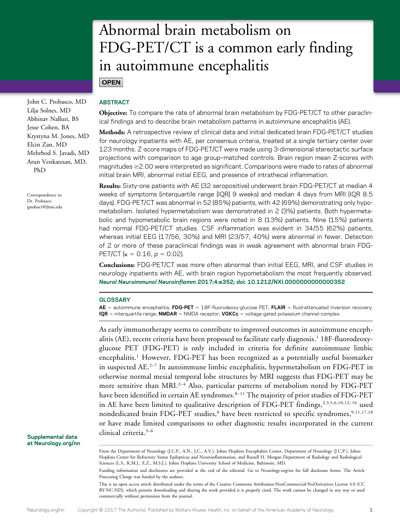# Abnormal brain metabolism on FDG-PET/CT is a common early finding in autoimmune encephalitis

**OPEN** 

John C. Probasco, MD Lilja Solnes, MD Abhinav Nalluri, BS Jesse Cohen, BA Krystyna M. Jones, MD Elcin Zan, MD Mehrbod S. Javadi, MD Arun Venkatesan, MD, PhD

Correspondence to Dr. Probasco: [jprobas1@jhmi.edu](mailto:jprobas1@jhmi.edu)

## ABSTRACT

Objective: To compare the rate of abnormal brain metabolism by FDG-PET/CT to other paraclinical findings and to describe brain metabolism patterns in autoimmune encephalitis (AE).

Methods: A retrospective review of clinical data and initial dedicated brain FDG-PET/CT studies for neurology inpatients with AE, per consensus criteria, treated at a single tertiary center over 123 months. Z-score maps of FDG-PET/CT were made using 3-dimensional stereotactic surface projections with comparison to age group–matched controls. Brain region mean Z-scores with magnitudes  $\geq$  2.00 were interpreted as significant. Comparisons were made to rates of abnormal initial brain MRI, abnormal initial EEG, and presence of intrathecal inflammation.

Results: Sixty-one patients with AE (32 seropositive) underwent brain FDG-PET/CT at median 4 weeks of symptoms (interquartile range [IQR] 9 weeks) and median 4 days from MRI (IQR 8.5 days). FDG-PET/CT was abnormal in 52 (85%) patients, with 42 (69%) demonstrating only hypometabolism. Isolated hypermetabolism was demonstrated in 2 (3%) patients. Both hypermetabolic and hypometabolic brain regions were noted in 8 (13%) patients. Nine (15%) patients had normal FDG-PET/CT studies. CSF inflammation was evident in 34/55 (62%) patients, whereas initial EEG (17/56, 30%) and MRI (23/57, 40%) were abnormal in fewer. Detection of 2 or more of these paraclinical findings was in weak agreement with abnormal brain FDG-PET/CT ( $\kappa = 0.16$ ,  $p = 0.02$ ).

Conclusions: FDG-PET/CT was more often abnormal than initial EEG, MRI, and CSF studies in neurology inpatients with AE, with brain region hypometabolism the most frequently observed. Neurol Neuroimmunol Neuroinflamm 2017;4:e352; doi: 10.1212/NXI.0000000000000352

### **GLOSSARY**

 $AE =$  autoimmune encephalitis; FDG-PET = 18F-fluorodeoxy-glucose PET; FLAIR = fluid-attenuated inversion recovery;  $IQR =$  interquartile range; NMDAR = NMDA receptor; VGKCc = voltage-gated potassium channel-complex.

As early immunotherapy seems to contribute to improved outcomes in autoimmune encephalitis (AE), recent criteria have been proposed to facilitate early diagnosis.<sup>1</sup> 18F-fluorodeoxyglucose PET (FDG-PET) is only included in criteria for definite autoimmune limbic encephalitis.1 However, FDG-PET has been recognized as a potentially useful biomarker in suspected  $AE^{2-7}$  In autoimmune limbic encephalitis, hypermetabolism on FDG-PET in otherwise normal mesial temporal lobe structures by MRI suggests that FDG-PET may be more sensitive than MRI.<sup>2-4</sup> Also, particular patterns of metabolism noted by FDG-PET have been identified in certain AE syndromes.<sup>8-11</sup> The majority of prior studies of FDG-PET in AE have been limited to qualitative description of FDG-PET findings,<sup>2,3,5,6,10,12-16</sup> used nondedicated brain FDG-PET studies,<sup>8</sup> have been restricted to specific syndromes,<sup>9,11,17,18</sup> or have made limited comparisons to other diagnostic results incorporated in the current clinical criteria.3–<sup>6</sup>

Supplemental data at [Neurology.org/nn](http://nn.neurology.org/lookup/doi/10.1212/NXI.0000000000000352)

From the Department of Neurology (J.C.P., A.N., J.C., A.V.), Johns Hopkins Encephalitis Center, Department of Neurology (J.C.P.), Johns Hopkins Center for Refractory Status Epilepticus and Neuroinflammation, and Russell H. Morgan Department of Radiology and Radiological Sciences (L.S., K.M.J., E.Z., M.S.J.), Johns Hopkins University School of Medicine, Baltimore, MD.

Funding information and disclosures are provided at the end of the editorial. Go to [Neurology.org/nn](http://nn.neurology.org/lookup/doi/10.1212/NXI.0000000000000352) for full disclosure forms. The Article Processing Charge was funded by the authors.

This is an open access article distributed under the terms of the [Creative Commons Attribution-NonCommercial-NoDerivatives License 4.0 \(CC](http://creativecommons.org/licenses/by-nc-nd/4.0/) [BY-NC-ND\)](http://creativecommons.org/licenses/by-nc-nd/4.0/), which permits downloading and sharing the work provided it is properly cited. The work cannot be changed in any way or used commercially without permission from the journal.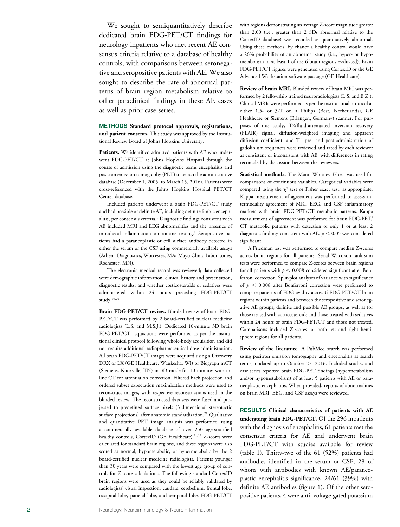We sought to semiquantitatively describe dedicated brain FDG-PET/CT findings for neurology inpatients who met recent AE consensus criteria relative to a database of healthy controls, with comparisons between seronegative and seropositive patients with AE. We also sought to describe the rate of abnormal patterns of brain region metabolism relative to other paraclinical findings in these AE cases as well as prior case series.

METHODS Standard protocol approvals, registrations, and patient consents. This study was approved by the Institutional Review Board of Johns Hopkins University.

Patients. We identified admitted patients with AE who underwent FDG-PET/CT at Johns Hopkins Hospital through the course of admission using the diagnostic terms encephalitis and positron emission tomography (PET) to search the administrative database (December 1, 2005, to March 15, 2016). Patients were cross-referenced with the Johns Hopkins Hospital PET/CT Center database.

Included patients underwent a brain FDG-PET/CT study and had possible or definite AE, including definite limbic encephalitis, per consensus criteria.<sup>1</sup> Diagnostic findings consistent with AE included MRI and EEG abnormalities and the presence of intrathecal inflammation on routine testing. <sup>1</sup> Seropositive patients had a paraneoplastic or cell surface antibody detected in either the serum or the CSF using commercially available assays (Athena Diagnostics, Worcester, MA; Mayo Clinic Laboratories, Rochester, MN).

The electronic medical record was reviewed; data collected were demographic information, clinical history and presentation, diagnostic results, and whether corticosteroids or sedatives were administered within 24 hours preceding FDG-PET/CT study.19,20

Brain FDG-PET/CT review. Blinded review of brain FDG-PET/CT was performed by 2 board-certified nuclear medicine radiologists (L.S. and M.S.J.). Dedicated 10-minute 3D brain FDG-PET/CT acquisitions were performed as per the institutional clinical protocol following whole-body acquisition and did not require additional radiopharmaceutical dose administration. All brain FDG-PET/CT images were acquired using a Discovery DRX or LX (GE Healthcare, Waukesha, WI) or Biograph mCT (Siemens, Knoxville, TN) in 3D mode for 10 minutes with inline CT for attenuation correction. Filtered back projection and ordered subset expectation maximization methods were used to reconstruct images, with respective reconstructions used in the blinded review. The reconstructed data sets were fused and projected to predefined surface pixels (3-dimensional stereotactic surface projections) after anatomic standardization.<sup>21</sup> Qualitative and quantitative PET image analysis was performed using a commercially available database of over 250 age-stratified healthy controls, CortexID (GE Healthcare).<sup>21,22</sup> Z-scores were calculated for standard brain regions, and these regions were also scored as normal, hypometabolic, or hypermetabolic by the 2 board-certified nuclear medicine radiologists. Patients younger than 30 years were compared with the lowest age group of controls for Z-score calculations. The following standard CortexID brain regions were used as they could be reliably validated by radiologists ' visual inspection: caudate, cerebellum, frontal lobe, occipital lobe, parietal lobe, and temporal lobe. FDG-PET/CT with regions demonstrating an average Z-score magnitude greater than 2.00 (i.e., greater than 2 SDs abnormal relative to the CortexID database) was recorded as quantitatively abnormal. Using these methods, by chance a healthy control would have a 26% probability of an abnormal study (i.e., hyper- or hypometabolism in at least 1 of the 6 brain regions evaluated). Brain FDG-PET/CT figures were generated using CortexID or the GE Advanced Workstation software package (GE Healthcare).

Review of brain MRI. Blinded review of brain MRI was performed by 2 fellowship trained neuroradiologists (L.S. and E.Z.). Clinical MRIs were performed as per the institutional protocol at either 1.5- or 3-T on a Philips (Best, Netherlands), GE Healthcare or Siemens (Erlangen, Germany) scanner. For purposes of this study, T2/fluid-attenuated inversion recovery (FLAIR) signal, diffusion-weighted imaging and apparent diffusion coefficient, and T1 pre- and post-administration of gadolinium sequences were reviewed and rated by each reviewer as consistent or inconsistent with AE, with differences in rating reconciled by discussion between the reviewers.

Statistical methods. The Mann-Whitney U test was used for comparisons of continuous variables. Categorical variables were compared using the  $\chi^2$  test or Fisher exact test, as appropriate. Kappa measurement of agreement was performed to assess intermodality agreement of MRI, EEG, and CSF inflammatory markers with brain FDG-PET/CT metabolic patterns. Kappa measurement of agreement was performed for brain FDG-PET/ CT metabolic patterns with detection of only 1 or at least 2 diagnostic findings consistent with AE.  $p < 0.05$  was considered significant.

A Friedman test was performed to compare median Z-scores across brain regions for all patients. Serial Wilcoxon rank-sum tests were performed to compare Z-scores between brain regions for all patients with  $p < 0.008$  considered significant after Bonferroni correction. Split-plot analyses of variance with significance of  $p < 0.008$  after Bonferroni correction were performed to compare patterns of FDG-avidity across 6 FDG-PET/CT brain regions within patients and between the seropositive and seronegative AE groups, definite and possible AE groups, as well as for those treated with corticosteroids and those treated with sedatives within 24 hours of brain FDG-PET/CT and those not treated. Comparisons included Z-scores for both left and right hemisphere regions for all patients.

Review of the literature. A PubMed search was performed using positron emission tomography and encephalitis as search terms, updated up to October 27, 2016. Included studies and case series reported brain FDG-PET findings (hypermetabolism and/or hypometabolism) of at least 5 patients with AE or paraneoplastic encephalitis. When provided, reports of abnormalities on brain MRI, EEG, and CSF assays were reviewed.

RESULTS Clinical characteristics of patients with AE undergoing brain FDG-PET/CT. Of the 296 inpatients with the diagnosis of encephalitis, 61 patients met the consensus criteria for AE and underwent brain FDG-PET/CT with studies available for review (table 1). Thirty-two of the 61 (52%) patients had antibodies identified in the serum or CSF, 28 of whom with antibodies with known AE/paraneoplastic encephalitis significance, 24/61 (39%) with definite AE antibodies (figure 1). Of the other seropositive patients, 4 were anti–voltage-gated potassium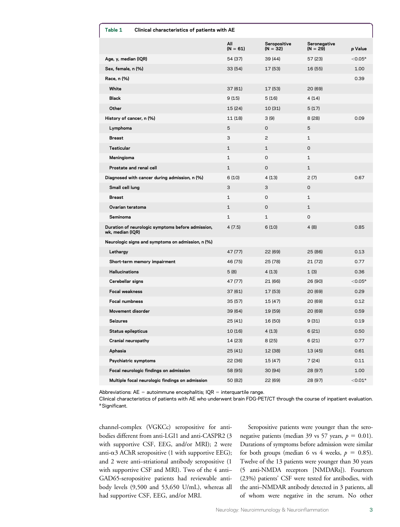| Table 1<br>Clinical characteristics of patients with AE |                                                   |                   |                            |                            |                     |
|---------------------------------------------------------|---------------------------------------------------|-------------------|----------------------------|----------------------------|---------------------|
|                                                         |                                                   | All<br>$(N = 61)$ | Seropositive<br>$(N = 32)$ | Seronegative<br>$(N = 29)$ | p Value             |
| Age, y, median (IQR)                                    |                                                   | 54 (37)           | 39 (44)                    | 57 (23)                    | $<$ 0.05 $^{\circ}$ |
| Sex, female, n (%)                                      |                                                   | 33(54)            | 17 (53)                    | 16 (55)                    | 1.00                |
| Race, n (%)                                             |                                                   |                   |                            |                            | 0.39                |
| White                                                   |                                                   | 37 (61)           | 17 (53)                    | 20 (69)                    |                     |
| <b>Black</b>                                            |                                                   | 9(15)             | 5(16)                      | 4 (14)                     |                     |
| Other                                                   |                                                   | 15 (24)           | 10 (31)                    | 5(17)                      |                     |
| History of cancer, n (%)                                |                                                   | 11 (18)           | 3(9)                       | 8(28)                      | 0.09                |
| Lymphoma                                                |                                                   | 5                 | 0                          | 5                          |                     |
| <b>Breast</b>                                           |                                                   | 3                 | $\overline{c}$             | $\mathbf{1}$               |                     |
| Testicular                                              |                                                   | $\mathbf{1}$      | $\mathbf{1}$               | 0                          |                     |
| Meningioma                                              |                                                   | $\mathbf{1}$      | 0                          | $\mathbf{1}$               |                     |
| Prostate and renal cell                                 |                                                   | $\mathbf{1}$      | 0                          | $\mathbf{1}$               |                     |
|                                                         | Diagnosed with cancer during admission, n (%)     | 6(10)             | 4(13)                      | 2(7)                       | 0.67                |
| Small cell lung                                         |                                                   | 3                 | З                          | 0                          |                     |
| <b>Breast</b>                                           |                                                   | $\mathbf{1}$      | 0                          | $\mathbf{1}$               |                     |
| Ovarian teratoma                                        |                                                   | $\mathbf{1}$      | 0                          | $\mathbf{1}$               |                     |
| Seminoma                                                |                                                   | $\mathbf{1}$      | $\mathbf{1}$               | 0                          |                     |
| wk, median (IQR)                                        | Duration of neurologic symptoms before admission, | 4 (7.5)           | 6(10)                      | 4 (8)                      | 0.85                |
|                                                         | Neurologic signs and symptoms on admission, n (%) |                   |                            |                            |                     |
| Lethargy                                                |                                                   | 47 (77)           | 22 (69)                    | 25 (86)                    | 0.13                |
|                                                         | Short-term memory impairment                      | 46 (75)           | 25 (78)                    | 21 (72)                    | 0.77                |
| <b>Hallucinations</b>                                   |                                                   | 5(8)              | 4 (13)                     | 1(3)                       | 0.36                |
| Cerebellar signs                                        |                                                   | 47 (77)           | 21 (66)                    | 26 (90)                    | $<$ 0.05 $^{\circ}$ |
| <b>Focal weakness</b>                                   |                                                   | 37 (61)           | 17 (53)                    | 20 (69)                    | 0.29                |
| <b>Focal numbness</b>                                   |                                                   | 35 (57)           | 15 (47)                    | 20 (69)                    | 0.12                |
| Movement disorder                                       |                                                   | 39 (64)           | 19 (59)                    | 20 (69)                    | 0.59                |
| Seizures                                                |                                                   | 25 (41)           | 16 (50)                    | 9(31)                      | 0.19                |
| Status epilepticus                                      |                                                   | 10 (16)           | 4(13)                      | 6(21)                      | 0.50                |
| Cranial neuropathy                                      |                                                   | 14 (23)           | 8(25)                      | 6(21)                      | 0.77                |
| Aphasia                                                 |                                                   | 25(41)            | 12 (38)                    | 13 (45)                    | 0.61                |
| Psychiatric symptoms                                    |                                                   | 22 (36)           | 15 (47)                    | 7 (24)                     | 0.11                |
|                                                         | Focal neurologic findings on admission            | 58 (95)           | 30 (94)                    | 28 (97)                    | 1.00                |
|                                                         | Multiple focal neurologic findings on admission   | 50 (82)           | 22 (69)                    | 28 (97)                    | $< 0.01^a$          |

Abbreviations:  $AE =$  autoimmune encephalitis;  $IQR =$  interquartile range.

Clinical characteristics of patients with AE who underwent brain FDG-PET/CT through the course of inpatient evaluation. <sup>a</sup> Significant.

channel-complex (VGKCc) seropositive for antibodies different from anti-LGI1 and anti-CASPR2 (3 with supportive CSF, EEG, and/or MRI); 2 were anti- $\alpha$ 3 AChR seropositive (1 with supportive EEG); and 2 were anti–striational antibody seropositive (1 with supportive CSF and MRI). Two of the 4 anti– GAD65-seropositive patients had reviewable antibody levels (9,500 and 53,650 U/mL), whereas all had supportive CSF, EEG, and/or MRI.

Seropositive patients were younger than the seronegative patients (median 39 vs 57 years,  $p = 0.01$ ). Durations of symptoms before admission were similar for both groups (median 6 vs 4 weeks,  $p = 0.85$ ). Twelve of the 13 patients were younger than 30 years (5 anti-NMDA receptors [NMDARs]). Fourteen (23%) patients' CSF were tested for antibodies, with the anti–NMDAR antibody detected in 3 patients, all of whom were negative in the serum. No other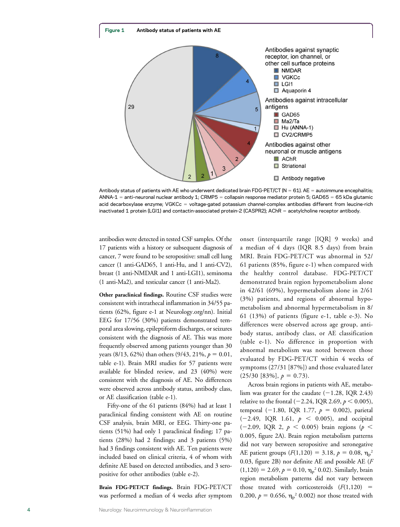

Antibody status of patients with AE who underwent dedicated brain FDG-PET/CT (N = 61). AE = autoimmune encephalitis; ANNA-1 = anti-neuronal nuclear antibody 1; CRMP5 = collapsin response mediator protein 5; GAD65 = 65 kDa glutamic acid decarboxylase enzyme; VGKCc = voltage-gated potassium channel-complex antibodies different from leucine-rich inactivated 1 protein (LGI1) and contactin-associated protein-2 (CASPR2); AChR = acetylcholine receptor antibody.

antibodies were detected in tested CSF samples. Of the 17 patients with a history or subsequent diagnosis of cancer, 7 were found to be seropositive: small cell lung cancer (1 anti-GAD65, 1 anti-Hu, and 1 anti-CV2), breast (1 anti-NMDAR and 1 anti-LGI1), seminoma (1 anti-Ma2), and testicular cancer (1 anti-Ma2).

Other paraclinical findings. Routine CSF studies were consistent with intrathecal inflammation in 34/55 patients (62%, figure e-1 at [Neurology.org/nn\)](http://nn.neurology.org/lookup/doi/10.1212/NXI.0000000000000352). Initial EEG for 17/56 (30%) patients demonstrated temporal area slowing, epileptiform discharges, or seizures consistent with the diagnosis of AE. This was more frequently observed among patients younger than 30 years (8/13, 62%) than others (9/43, 21%,  $p = 0.01$ , table e-1). Brain MRI studies for 57 patients were available for blinded review, and 23 (40%) were consistent with the diagnosis of AE. No differences were observed across antibody status, antibody class, or AE classification (table e-1).

Fifty-one of the 61 patients (84%) had at least 1 paraclinical finding consistent with AE on routine CSF analysis, brain MRI, or EEG. Thirty-one patients (51%) had only 1 paraclinical finding; 17 patients (28%) had 2 findings; and 3 patients (5%) had 3 findings consistent with AE. Ten patients were included based on clinical criteria, 4 of whom with definite AE based on detected antibodies, and 3 seropositive for other antibodies (table e-2).

Brain FDG-PET/CT findings. Brain FDG-PET/CT was performed a median of 4 weeks after symptom onset (interquartile range [IQR] 9 weeks) and a median of 4 days (IQR 8.5 days) from brain MRI. Brain FDG-PET/CT was abnormal in 52/ 61 patients (85%, figure e-1) when compared with the healthy control database. FDG-PET/CT demonstrated brain region hypometabolism alone in 42/61 (69%), hypermetabolism alone in 2/61 (3%) patients, and regions of abnormal hypometabolism and abnormal hypermetabolism in 8/ 61 (13%) of patients (figure e-1, table e-3). No differences were observed across age group, antibody status, antibody class, or AE classification (table e-1). No difference in proportion with abnormal metabolism was noted between those evaluated by FDG-PET/CT within 4 weeks of symptoms (27/31 [87%]) and those evaluated later  $(25/30 [83\%], p = 0.73).$ 

Across brain regions in patients with AE, metabolism was greater for the caudate  $(-1.28, IQR 2.43)$ relative to the frontal (-2.24, IQR 2.69,  $p < 0.005$ ), temporal (-1.80, IQR 1.77,  $p = 0.002$ ), parietal  $(-2.49, \text{ IQR } 1.61, p < 0.005)$ , and occipital  $(-2.09, \text{ IQR } 2, \, p \, \leq \, 0.005)$  brain regions ( $p \, \leq \,$ 0.005, figure 2A). Brain region metabolism patterns did not vary between seropositive and seronegative AE patient groups ( $F(1,120) = 3.18$ ,  $p = 0.08$ ,  $\eta_p^2$ 0.03, figure 2B) nor definite AE and possible AE (F  $(1,120) = 2.69, p = 0.10, \eta_p^2 0.02$ . Similarly, brain region metabolism patterns did not vary between those treated with corticosteroids  $(F(1,120)$  = 0.200,  $p = 0.656$ ,  $\eta_p^2$  0.002) nor those treated with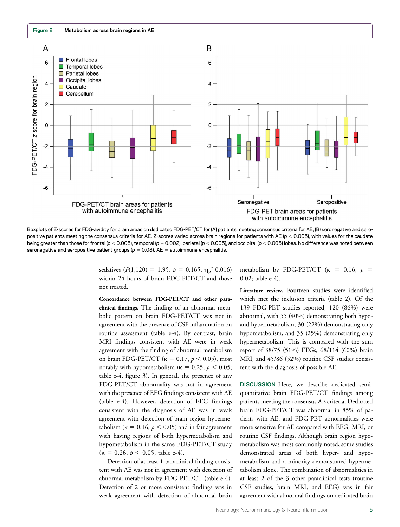

Boxplots of Z-scores for FDG-avidity for brain areas on dedicated FDG-PET/CT for (A) patients meeting consensus criteria for AE, (B) seronegative and seropositive patients meeting the consensus criteria for AE. Z-scores varied across brain regions for patients with AE ( $p < 0.005$ ), with values for the caudate being greater than those for frontal (p < 0.005), temporal (p = 0.002), parietal (p < 0.005), and occipital (p < 0.005) lobes. No difference was noted between seronegative and seropositive patient groups ( $p = 0.08$ ). AE = autoimmune encephalitis.

sedatives  $(F(1,120) = 1.95, p = 0.165, \eta_p^2 0.016)$ within 24 hours of brain FDG-PET/CT and those not treated.

Concordance between FDG-PET/CT and other paraclinical findings. The finding of an abnormal metabolic pattern on brain FDG-PET/CT was not in agreement with the presence of CSF inflammation on routine assessment (table e-4). By contrast, brain MRI findings consistent with AE were in weak agreement with the finding of abnormal metabolism on brain FDG-PET/CT ( $\kappa = 0.17$ ,  $p < 0.05$ ), most notably with hypometabolism ( $\kappa = 0.25$ ,  $p < 0.05$ ; table e-4, figure 3). In general, the presence of any FDG-PET/CT abnormality was not in agreement with the presence of EEG findings consistent with AE (table e-4). However, detection of EEG findings consistent with the diagnosis of AE was in weak agreement with detection of brain region hypermetabolism ( $\kappa = 0.16$ ,  $p < 0.05$ ) and in fair agreement with having regions of both hypermetabolism and hypometabolism in the same FDG-PET/CT study  $(\kappa = 0.26, p < 0.05,$  table e-4).

Detection of at least 1 paraclinical finding consistent with AE was not in agreement with detection of abnormal metabolism by FDG-PET/CT (table e-4). Detection of 2 or more consistent findings was in weak agreement with detection of abnormal brain

metabolism by FDG-PET/CT ( $\kappa$  = 0.16,  $p$  = 0.02; table e-4).

Literature review. Fourteen studies were identified which met the inclusion criteria (table 2). Of the 139 FDG-PET studies reported, 120 (86%) were abnormal, with 55 (40%) demonstrating both hypoand hypermetabolism, 30 (22%) demonstrating only hypometabolism, and 35 (25%) demonstrating only hypermetabolism. This is compared with the sum report of 38/75 (51%) EEGs, 68/114 (60%) brain MRI, and 45/86 (52%) routine CSF studies consistent with the diagnosis of possible AE.

DISCUSSION Here, we describe dedicated semiquantitative brain FDG-PET/CT findings among patients meeting the consensus AE criteria. Dedicated brain FDG-PET/CT was abnormal in 85% of patients with AE, and FDG-PET abnormalities were more sensitive for AE compared with EEG, MRI, or routine CSF findings. Although brain region hypometabolism was most commonly noted, some studies demonstrated areas of both hyper- and hypometabolism and a minority demonstrated hypermetabolism alone. The combination of abnormalities in at least 2 of the 3 other paraclinical tests (routine CSF studies, brain MRI, and EEG) was in fair agreement with abnormal findings on dedicated brain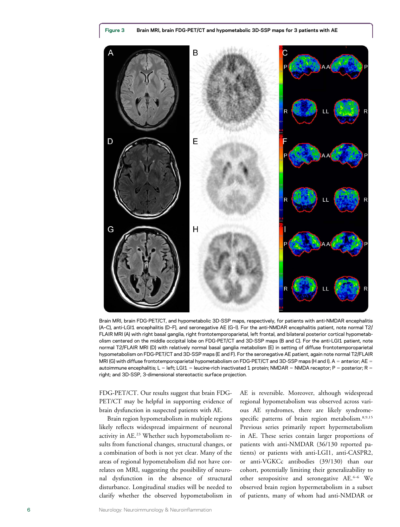



Brain MRI, brain FDG-PET/CT, and hypometabolic 3D-SSP maps, respectively, for patients with anti-NMDAR encephalitis (A–C), anti-LGI1 encephalitis (D–F), and seronegative AE (G–I). For the anti-NMDAR encephalitis patient, note normal T2/ FLAIR MRI (A) with right basal ganglia, right frontotemporoparietal, left frontal, and bilateral posterior cortical hypometabolism centered on the middle occipital lobe on FDG-PET/CT and 3D-SSP maps (B and C). For the anti-LGI1 patient, note normal T2/FLAIR MRI (D) with relatively normal basal ganglia metabolism (E) in setting of diffuse frontotemporoparietal hypometabolism on FDG-PET/CT and 3D-SSP maps (E and F). For the seronegative AE patient, again note normal T2/FLAIR MRI (G) with diffuse frontotemporoparietal hypometabolism on FDG-PET/CT and 3D-SSP maps (H and I). A = anterior; AE = autoimmune encephalitis; L = left; LGI1 = leucine-rich inactivated 1 protein; NMDAR = NMDA receptor; P = posterior; R = right; and 3D-SSP, 3-dimensional stereotactic surface projection.

FDG-PET/CT. Our results suggest that brain FDG-PET/CT may be helpful in supporting evidence of brain dysfunction in suspected patients with AE.

Brain region hypometabolism in multiple regions likely reflects widespread impairment of neuronal activity in AE.23 Whether such hypometabolism results from functional changes, structural changes, or a combination of both is not yet clear. Many of the areas of regional hypometabolism did not have correlates on MRI, suggesting the possibility of neuronal dysfunction in the absence of structural disturbance. Longitudinal studies will be needed to clarify whether the observed hypometabolism in AE is reversible. Moreover, although widespread regional hypometabolism was observed across various AE syndromes, there are likely syndromespecific patterns of brain region metabolism.<sup>8,9,15</sup> Previous series primarily report hypermetabolism in AE. These series contain larger proportions of patients with anti-NMDAR (36/130 reported patients) or patients with anti-LGI1, anti-CASPR2, or anti-VGKCc antibodies (39/130) than our cohort, potentially limiting their generalizability to other seropositive and seronegative AE.4-6 We observed brain region hypermetabolism in a subset of patients, many of whom had anti-NMDAR or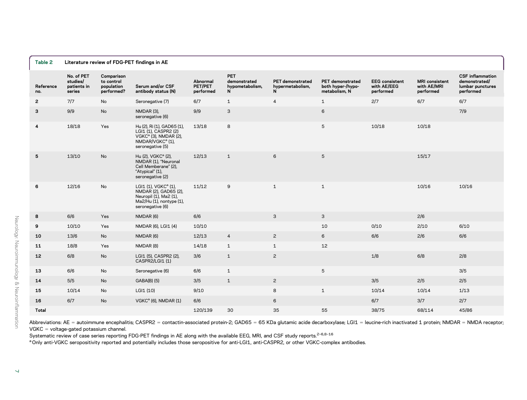| Table 2<br>Literature review of FDG-PET findings in AE |                                                 |                                                      |                                                                                                                                     |                                  |                                                    |                                           |                                                        |                                                   |                                                   |                                                                           |
|--------------------------------------------------------|-------------------------------------------------|------------------------------------------------------|-------------------------------------------------------------------------------------------------------------------------------------|----------------------------------|----------------------------------------------------|-------------------------------------------|--------------------------------------------------------|---------------------------------------------------|---------------------------------------------------|---------------------------------------------------------------------------|
| Reference<br>no.                                       | No. of PET<br>studies/<br>patients in<br>series | Comparison<br>to control<br>population<br>performed? | Serum and/or CSF<br>antibody status (N)                                                                                             | Abnormal<br>PET/PET<br>performed | <b>PET</b><br>demonstrated<br>hypometabolism.<br>N | PET demonstrated<br>hypermetabolism,<br>N | PET demonstrated<br>both hyper-/hypo-<br>metabolism, N | <b>EEG</b> consistent<br>with AE/EEG<br>performed | <b>MRI</b> consistent<br>with AE/MRI<br>performed | <b>CSF</b> inflammation<br>demonstrated/<br>lumbar punctures<br>performed |
| $\mathbf{2}$                                           | 7/7                                             | No                                                   | Seronegative (7)                                                                                                                    | 6/7                              | $\mathbf{1}$                                       | $\overline{4}$                            | $\mathbf{1}$                                           | 2/7                                               | 6/7                                               | 6/7                                                                       |
| 3                                                      | 9/9                                             | No                                                   | NMDAR (3),<br>seronegative (6)                                                                                                      | 9/9                              | 3                                                  |                                           | 6                                                      |                                                   |                                                   | 7/9                                                                       |
| 4                                                      | 18/18                                           | Yes                                                  | Hu (2), Ri (1), GAD65 (1),<br>LGI1 (1), CASPR2 (2)<br>VGKC $a$ (3), NMDAR (2),<br>NMDAR/VGKC <sup>a</sup> (1),<br>seronegative (5)  | 13/18                            | 8                                                  |                                           | 5                                                      | 10/18                                             | 10/18                                             |                                                                           |
| 5                                                      | 13/10                                           | <b>No</b>                                            | Hu (2), VGKC <sup>a</sup> (2),<br>NMDAR (1), "Neuronal<br>Cell Memberane" (2),<br>"Atypical" (1),<br>seronegative (2)               | 12/13                            | $\mathbf{1}$                                       | 6                                         | 5                                                      |                                                   | 15/17                                             |                                                                           |
| 6                                                      | 12/16                                           | No                                                   | LGI1 (1), VGKC <sup>a</sup> (1),<br>NMDAR (2), GAD65 (2),<br>Neuropil (1), Ma2 (1),<br>Ma2/Hu (1), nontype (1),<br>seronegative (6) | 11/12                            | 9                                                  | $\mathbf{1}$                              | $\mathbf{1}$                                           |                                                   | 10/16                                             | 10/16                                                                     |
| 8                                                      | 6/6                                             | Yes                                                  | NMDAR (6)                                                                                                                           | 6/6                              |                                                    | 3                                         | 3                                                      |                                                   | 2/6                                               |                                                                           |
| 9                                                      | 10/10                                           | Yes                                                  | NMDAR (6), LGI1 (4)                                                                                                                 | 10/10                            |                                                    |                                           | 10                                                     | 0/10                                              | 2/10                                              | 6/10                                                                      |
| 10                                                     | 13/6                                            | No                                                   | NMDAR (6)                                                                                                                           | 12/13                            | $\overline{4}$                                     | $\overline{c}$                            | 6                                                      | 6/6                                               | 2/6                                               | 6/6                                                                       |
| 11                                                     | 18/8                                            | Yes                                                  | NMDAR (8)                                                                                                                           | 14/18                            | $\mathbf{1}$                                       | $\mathbf{1}$                              | 12                                                     |                                                   |                                                   |                                                                           |
| 12                                                     | 6/8                                             | No                                                   | LGI1 (5), CASPR2 (2),<br>CASPR2/LGI1 (1)                                                                                            | 3/6                              | $\mathbf{1}$                                       | $\overline{c}$                            |                                                        | 1/8                                               | 6/8                                               | 2/8                                                                       |
| 13                                                     | 6/6                                             | No                                                   | Seronegative (6)                                                                                                                    | 6/6                              | $\mathbf{1}$                                       |                                           | 5                                                      |                                                   |                                                   | 3/5                                                                       |
| 14                                                     | 5/5                                             | No                                                   | GABA(B) (5)                                                                                                                         | 3/5                              | $\mathbf{1}$                                       | $\overline{c}$                            |                                                        | 3/5                                               | 2/5                                               | 2/5                                                                       |
| 15                                                     | 10/14                                           | No                                                   | LGI1 (10)                                                                                                                           | 9/10                             |                                                    | 8                                         | $\mathbf{1}$                                           | 10/14                                             | 10/14                                             | 1/13                                                                      |
| 16                                                     | 6/7                                             | <b>No</b>                                            | VGKC <sup>a</sup> (6), NMDAR (1)                                                                                                    | 6/6                              |                                                    | 6                                         |                                                        | 6/7                                               | 3/7                                               | 2/7                                                                       |
| Total                                                  |                                                 |                                                      |                                                                                                                                     | 120/139                          | 30                                                 | 35                                        | 55                                                     | 38/75                                             | 68/114                                            | 45/86                                                                     |

Abbreviations: AE = autoimmune encephalitis; CASPR2 = contactin-associated protein-2; GAD65 = 65 KDa glutamic acide decarboxylase; LGI1 = leucine-rich inactivated 1 protein; NMDAR = NMDA receptor;  $V$ GKC  $=$  voltage-gated potassium channel.

Systematic review of case series reporting FDG-PET findings in AE along with the available EEG, MRI, and CSF study reports.<sup>2-6,8-16</sup>

<sup>a</sup> Only anti-VGKC seropositivity reported and potentially includes those seropositive for anti-LGI1, anti-CASPR2, or other VGKC-complex antibodies.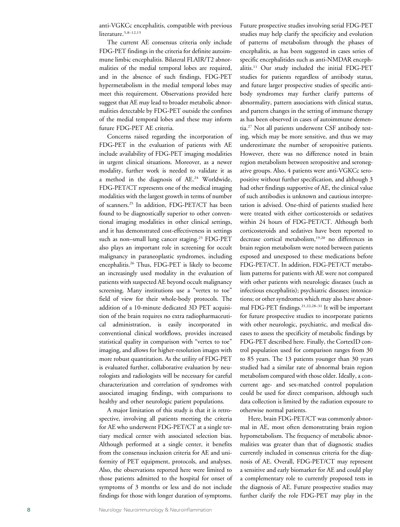anti-VGKCc encephalitis, compatible with previous literature.<sup>5,8-12,15</sup>

The current AE consensus criteria only include FDG-PET findings in the criteria for definite autoimmune limbic encephalitis. Bilateral FLAIR/T2 abnormalities of the medial temporal lobes are required, and in the absence of such findings, FDG-PET hypermetabolism in the medial temporal lobes may meet this requirement. Observations provided here suggest that AE may lead to broader metabolic abnormalities detectable by FDG-PET outside the confines of the medial temporal lobes and these may inform future FDG-PET AE criteria.

Concerns raised regarding the incorporation of FDG-PET in the evaluation of patients with AE include availability of FDG-PET imaging modalities in urgent clinical situations. Moreover, as a newer modality, further work is needed to validate it as a method in the diagnosis of AE.24 Worldwide, FDG-PET/CT represents one of the medical imaging modalities with the largest growth in terms of number of scanners.<sup>25</sup> In addition, FDG-PET/CT has been found to be diagnostically superior to other conventional imaging modalities in other clinical settings, and it has demonstrated cost-effectiveness in settings such as non-small lung cancer staging.<sup>25</sup> FDG-PET also plays an important role in screening for occult malignancy in paraneoplastic syndromes, including encephalitis.26 Thus, FDG-PET is likely to become an increasingly used modality in the evaluation of patients with suspected AE beyond occult malignancy screening. Many institutions use a "vertex to toe" field of view for their whole-body protocols. The addition of a 10-minute dedicated 3D PET acquisition of the brain requires no extra radiopharmaceutical administration, is easily incorporated in conventional clinical workflows, provides increased statistical quality in comparison with "vertex to toe" imaging, and allows for higher-resolution images with more robust quantitation. As the utility of FDG-PET is evaluated further, collaborative evaluation by neurologists and radiologists will be necessary for careful characterization and correlation of syndromes with associated imaging findings, with comparisons to healthy and other neurologic patient populations.

A major limitation of this study is that it is retrospective, involving all patients meeting the criteria for AE who underwent FDG-PET/CT at a single tertiary medical center with associated selection bias. Although performed at a single center, it benefits from the consensus inclusion criteria for AE and uniformity of PET equipment, protocols, and analyses. Also, the observations reported here were limited to those patients admitted to the hospital for onset of symptoms of 3 months or less and do not include findings for those with longer duration of symptoms.

Future prospective studies involving serial FDG-PET studies may help clarify the specificity and evolution of patterns of metabolism through the phases of encephalitis, as has been suggested in cases series of specific encephalitides such as anti-NMDAR encephalitis.11 Our study included the initial FDG-PET studies for patients regardless of antibody status, and future larger prospective studies of specific antibody syndromes may further clarify patterns of abnormality, pattern associations with clinical status, and pattern changes in the setting of immune therapy as has been observed in cases of autoimmune dementia.27 Not all patients underwent CSF antibody testing, which may be more sensitive, and thus we may underestimate the number of seropositive patients. However, there was no difference noted in brain region metabolism between seropositive and seronegative groups. Also, 4 patients were anti-VGKCc seropositive without further specification, and although 3 had other findings supportive of AE, the clinical value of such antibodies is unknown and cautious interpretation is advised. One-third of patients studied here were treated with either corticosteroids or sedatives within 24 hours of FDG-PET/CT. Although both corticosteroids and sedatives have been reported to decrease cortical metabolism,<sup>19,20</sup> no differences in brain region metabolism were noted between patients exposed and unexposed to these medications before FDG-PET/CT. In addition, FDG-PET/CT metabolism patterns for patients with AE were not compared with other patients with neurologic diseases (such as infectious encephalitis); psychiatric diseases; intoxications; or other syndromes which may also have abnormal FDG-PET findings.21,22,28–<sup>31</sup> It will be important for future prospective studies to incorporate patients with other neurologic, psychiatric, and medical diseases to assess the specificity of metabolic findings by FDG-PET described here. Finally, the CortexID control population used for comparison ranges from 30 to 85 years. The 13 patients younger than 30 years studied had a similar rate of abnormal brain region metabolism compared with those older. Ideally, a concurrent age- and sex-matched control population could be used for direct comparison, although such data collection is limited by the radiation exposure to otherwise normal patients.

Here, brain FDG-PET/CT was commonly abnormal in AE, most often demonstrating brain region hypometabolism. The frequency of metabolic abnormalities was greater than that of diagnostic studies currently included in consensus criteria for the diagnosis of AE. Overall, FDG-PET/CT may represent a sensitive and early biomarker for AE and could play a complementary role to currently proposed tests in the diagnosis of AE. Future prospective studies may further clarify the role FDG-PET may play in the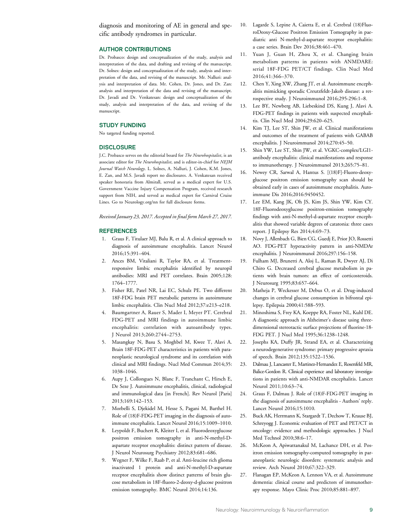diagnosis and monitoring of AE in general and specific antibody syndromes in particular.

### AUTHOR CONTRIBUTIONS

Dr. Probasco: design and conceptualization of the study, analysis and interpretation of the data, and drafting and revising of the manuscript. Dr. Solnes: design and conceptualization of the study, analysis and interpretation of the data, and revising of the manuscript. Mr. Nalluri: analysis and interpretation of data. Mr. Cohen, Dr. Jones, and Dr. Zan: analysis and interpretation of the data and revising of the manuscript. Dr. Javadi and Dr. Venkatesan: design and conceptualization of the study, analysis and interpretation of the data, and revising of the manuscript.

### STUDY FUNDING

No targeted funding reported.

### **DISCLOSURE**

J.C. Probasco serves on the editorial board for The Neurohospitalist, is an associate editor for The Neurohospitalist, and is editor-in-chief for NEJM Journal Watch Neurology. L. Solnes, A. Nalluri, J. Cohen, K.M. Jones, E. Zan, and M.S. Javadi report no disclosures. A. Venkatesan received speaker honoraria from Almirall, served as a medical expert for U.S. Government Vaccine Injury Compensation Program, received research support from NIH, and served as medical expert for Carnival Cruise Lines. Go to [Neurology.org/nn](http://nn.neurology.org/lookup/doi/10.1212/NXI.0000000000000352) for full disclosure forms.

Received January 23, 2017. Accepted in final form March 27, 2017.

### REFERENCES

- 1. Graus F, Titulaer MJ, Balu R, et al. A clinical approach to diagnosis of autoimmune encephalitis. Lancet Neurol 2016;15:391–404.
- 2. Ances BM, Vitaliani R, Taylor RA, et al. Treatmentresponsive limbic encephalitis identified by neuropil antibodies: MRI and PET correlates. Brain 2005;128: 1764–1777.
- 3. Fisher RE, Patel NR, Lai EC, Schulz PE. Two different 18F-FDG brain PET metabolic patterns in autoimmune limbic encephalitis. Clin Nucl Med 2012;37:e213–e218.
- 4. Baumgartner A, Rauer S, Mader I, Meyer PT. Cerebral FDG-PET and MRI findings in autoimmune limbic encephalitis: correlation with autoantibody types. J Neurol 2013;260:2744–2753.
- 5. Masangkay N, Basu S, Moghbel M, Kwee T, Alavi A. Brain 18F-FDG-PET characteristics in patients with paraneoplastic neurological syndrome and its correlation with clinical and MRI findings. Nucl Med Commun 2014;35: 1038–1046.
- 6. Aupy J, Collongues N, Blanc F, Tranchant C, Hirsch E, De Seze J. Autoimmune encephalitis, clinical, radiological and immunological data [in French]. Rev Neurol [Paris] 2013;169:142–153.
- 7. Morbelli S, Djekidel M, Hesse S, Pagani M, Barthel H. Role of (18)F-FDG-PET imaging in the diagnosis of autoimmune encephalitis. Lancet Neurol 2016;15:1009–1010.
- 8. Leypoldt F, Buchert R, Kleiter I, et al. Fluorodeoxyglucose positron emission tomography in anti-N-methyl-Daspartate receptor encephalitis: distinct pattern of disease. J Neurol Neurosurg Psychiatry 2012;83:681–686.
- 9. Wegner F, Wilke F, Raab P, et al. Anti-leucine rich glioma inactivated 1 protein and anti-N-methyl-D-aspartate receptor encephalitis show distinct patterns of brain glucose metabolism in 18F-fluoro-2-deoxy-d-glucose positron emission tomography. BMC Neurol 2014;14:136.
- 10. Lagarde S, Lepine A, Caietta E, et al. Cerebral (18)FluoroDeoxy-Glucose Positron Emission Tomography in paediatric anti N-methyl-d-aspartate receptor encephalitis: a case series. Brain Dev 2016;38:461–470.
- 11. Yuan J, Guan H, Zhou X, et al. Changing brain metabolism patterns in patients with ANMDARE: serial 18F-FDG PET/CT findings. Clin Nucl Med 2016;41:366–370.
- 12. Chen Y, Xing XW, Zhang JT, et al. Autoimmune encephalitis mimicking sporadic Creutzfeldt-Jakob disease: a retrospective study. J Neuroimmunol 2016;295-296:1–8.
- 13. Lee BY, Newberg AB, Liebeskind DS, Kung J, Alavi A. FDG-PET findings in patients with suspected encephalitis. Clin Nucl Med 2004;29:620–625.
- 14. Kim TJ, Lee ST, Shin JW, et al. Clinical manifestations and outcomes of the treatment of patients with GABAB encephalitis. J Neuroimmunol 2014;270:45–50.
- 15. Shin YW, Lee ST, Shin JW, et al. VGKC-complex/LGI1 antibody encephalitis: clinical manifestations and response to immunotherapy. J Neuroimmunol 2013;265:75–81.
- 16. Newey CR, Sarwal A, Hantus S. [(18)F]-Fluoro-deoxyglucose positron emission tomography scan should be obtained early in cases of autoimmune encephalitis. Autoimmune Dis 2016;2016:9450452.
- 17. Lee EM, Kang JK, Oh JS, Kim JS, Shin YW, Kim CY. 18F-Fluorodeoxyglucose positron-emission tomography findings with anti-N-methyl-d-aspartate receptor encephalitis that showed variable degrees of catatonia: three cases report. J Epilepsy Res 2014;4:69–73.
- 18. Novy J, Allenbach G, Bien CG, Guedj E, Prior JO, Rossetti AO. FDG-PET hyperactivity pattern in anti-NMDAr encephalitis. J Neuroimmunol 2016;297:156–158.
- 19. Fulham MJ, Brunetti A, Aloj L, Raman R, Dwyer AJ, Di Chiro G. Decreased cerebral glucose metabolism in patients with brain tumors: an effect of corticosteroids. J Neurosurg 1995;83:657–664.
- 20. Matheja P, Weckesser M, Debus O, et al. Drug-induced changes in cerebral glucose consumption in bifrontal epilepsy. Epilepsia 2000;41:588–593.
- 21. Minoshima S, Frey KA, Koeppe RA, Foster NL, Kuhl DE. A diagnostic approach in Alzheimer's disease using threedimensional stereotactic surface projections of fluorine-18- FDG PET. J Nucl Med 1995;36:1238–1248.
- 22. Josephs KA, Duffy JR, Strand EA, et al. Characterizing a neurodegenerative syndrome: primary progressive apraxia of speech. Brain 2012;135:1522–1536.
- 23. Dalmau J, Lancaster E, Martinez-Hernandez E, Rosenfeld MR, Balice-Gordon R. Clinical experience and laboratory investigations in patients with anti-NMDAR encephalitis. Lancet Neurol 2011;10:63–74.
- 24. Graus F, Dalmau J. Role of (18)F-FDG-PET imaging in the diagnosis of autoimmune encephalitis - Authors' reply. Lancet Neurol 2016;15:1010.
- 25. Buck AK, Herrmann K, Stargardt T, Dechow T, Krause BJ, Schreyogg J. Economic evaluation of PET and PET/CT in oncology: evidence and methodologic approaches. J Nucl Med Technol 2010;38:6–17.
- 26. McKeon A, Apiwattanakul M, Lachance DH, et al. Positron emission tomography-computed tomography in paraneoplastic neurologic disorders: systematic analysis and review. Arch Neurol 2010;67:322–329.
- 27. Flanagan EP, McKeon A, Lennon VA, et al. Autoimmune dementia: clinical course and predictors of immunotherapy response. Mayo Clinic Proc 2010;85:881–897.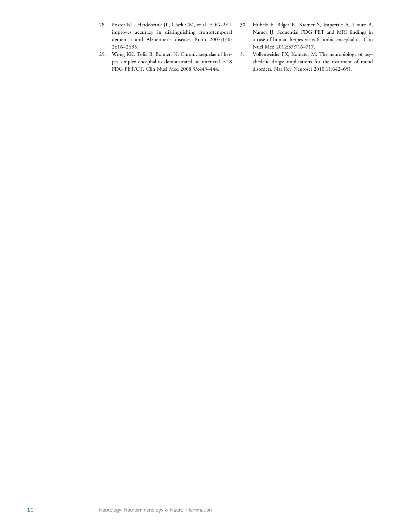- 28. Foster NL, Heidebrink JL, Clark CM, et al. FDG-PET improves accuracy in distinguishing frontotemporal dementia and Alzheimer's disease. Brain 2007;130: 2616–2635.
- 29. Wong KK, Tolia B, Bohnen N. Chronic sequelae of herpes simplex encephalitis demonstrated on interictal F-18 FDG PET/CT. Clin Nucl Med 2008;33:443–444.
- 30. Hubele F, Bilger K, Kremer S, Imperiale A, Lioure B, Namer IJ. Sequential FDG PET and MRI findings in a case of human herpes virus 6 limbic encephalitis. Clin Nucl Med 2012;37:716–717.
- 31. Vollenweider FX, Kometer M. The neurobiology of psychedelic drugs: implications for the treatment of mood disorders. Nat Rev Neurosci 2010;11:642–651.